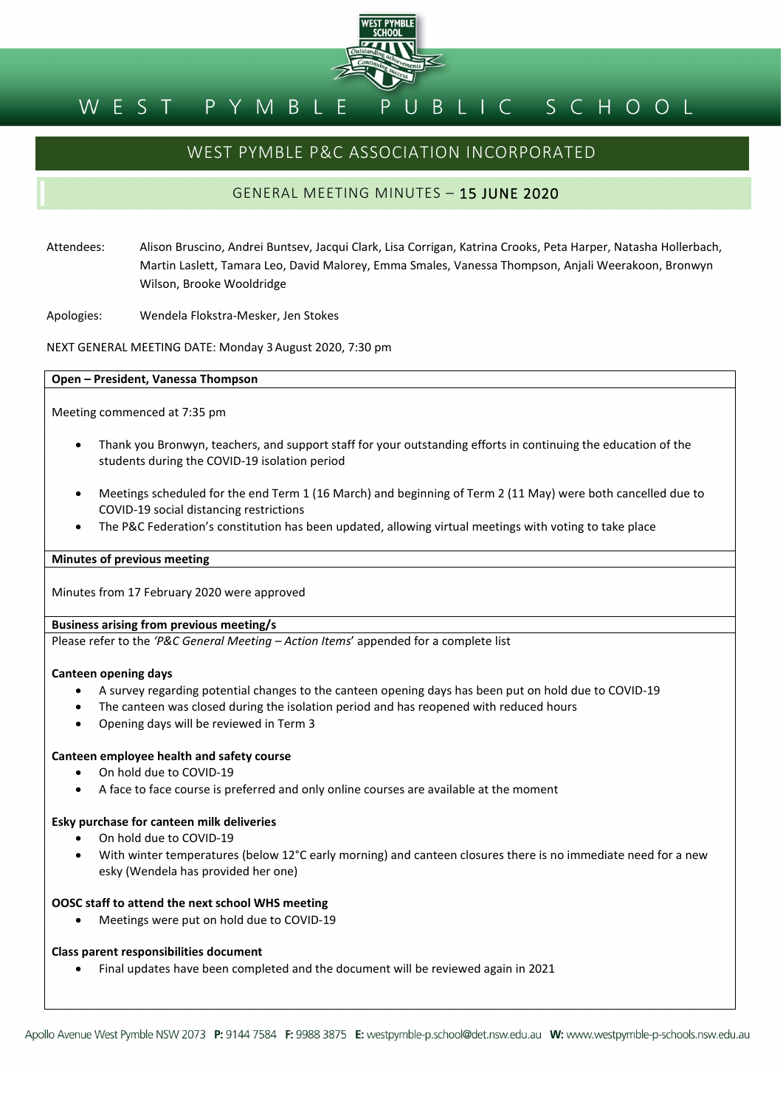

#### BLIC SCHOOL M B L P Y EST

# WEST PYMBLE P&C ASSOCIATION INCORPORATED

## GENERAL MEETING MINUTES – 15 JUNE 2020

Attendees: Alison Bruscino, Andrei Buntsev, Jacqui Clark, Lisa Corrigan, Katrina Crooks, Peta Harper, Natasha Hollerbach, Martin Laslett, Tamara Leo, David Malorey, Emma Smales, Vanessa Thompson, Anjali Weerakoon, Bronwyn Wilson, Brooke Wooldridge

Apologies: Wendela Flokstra-Mesker, Jen Stokes

NEXT GENERAL MEETING DATE: Monday 3August 2020, 7:30 pm

#### **Open – President, Vanessa Thompson**

Meeting commenced at 7:35 pm

- Thank you Bronwyn, teachers, and support staff for your outstanding efforts in continuing the education of the students during the COVID-19 isolation period
- Meetings scheduled for the end Term 1 (16 March) and beginning of Term 2 (11 May) were both cancelled due to COVID-19 social distancing restrictions
- The P&C Federation's constitution has been updated, allowing virtual meetings with voting to take place

#### **Minutes of previous meeting**

Minutes from 17 February 2020 were approved

## **Business arising from previous meeting/s**

Please refer to the *'P&C General Meeting – Action Items*' appended for a complete list

#### **Canteen opening days**

- A survey regarding potential changes to the canteen opening days has been put on hold due to COVID-19
- The canteen was closed during the isolation period and has reopened with reduced hours
- Opening days will be reviewed in Term 3

#### **Canteen employee health and safety course**

- On hold due to COVID-19
- A face to face course is preferred and only online courses are available at the moment

#### **Esky purchase for canteen milk deliveries**

- On hold due to COVID-19
- With winter temperatures (below 12°C early morning) and canteen closures there is no immediate need for a new esky (Wendela has provided her one)

#### **OOSC staff to attend the next school WHS meeting**

• Meetings were put on hold due to COVID-19

#### **Class parent responsibilities document**

• Final updates have been completed and the document will be reviewed again in 2021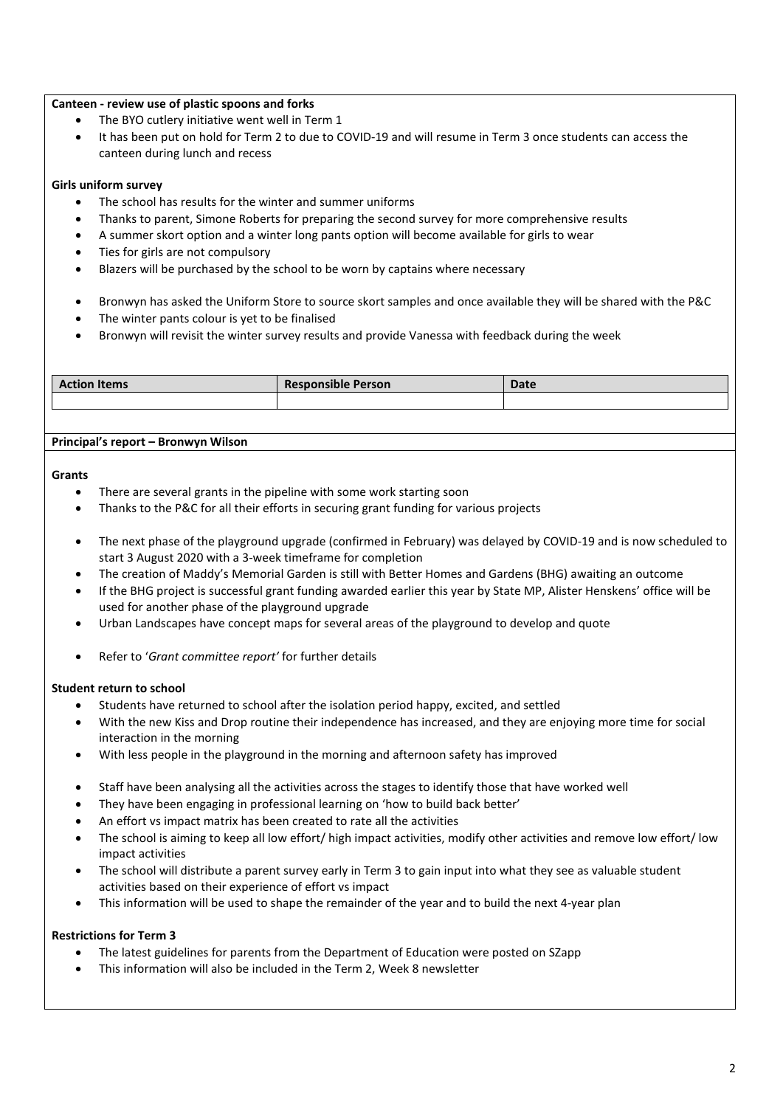## **Canteen - review use of plastic spoons and forks**

- The BYO cutlery initiative went well in Term 1
- It has been put on hold for Term 2 to due to COVID-19 and will resume in Term 3 once students can access the canteen during lunch and recess

## **Girls uniform survey**

- The school has results for the winter and summer uniforms
- Thanks to parent, Simone Roberts for preparing the second survey for more comprehensive results
- A summer skort option and a winter long pants option will become available for girls to wear
- Ties for girls are not compulsory
- Blazers will be purchased by the school to be worn by captains where necessary
- Bronwyn has asked the Uniform Store to source skort samples and once available they will be shared with the P&C
- The winter pants colour is yet to be finalised
- Bronwyn will revisit the winter survey results and provide Vanessa with feedback during the week

| <b>Action Items</b> | <b>Responsible Person</b> | Date |
|---------------------|---------------------------|------|
|                     |                           |      |

#### **Principal's report – Bronwyn Wilson**

#### **Grants**

- There are several grants in the pipeline with some work starting soon
- Thanks to the P&C for all their efforts in securing grant funding for various projects
- The next phase of the playground upgrade (confirmed in February) was delayed by COVID-19 and is now scheduled to start 3 August 2020 with a 3-week timeframe for completion
- The creation of Maddy's Memorial Garden is still with Better Homes and Gardens (BHG) awaiting an outcome
- If the BHG project is successful grant funding awarded earlier this year by State MP, Alister Henskens' office will be used for another phase of the playground upgrade
- Urban Landscapes have concept maps for several areas of the playground to develop and quote
- Refer to '*Grant committee report'* for further details

#### **Student return to school**

- Students have returned to school after the isolation period happy, excited, and settled
- With the new Kiss and Drop routine their independence has increased, and they are enjoying more time for social interaction in the morning
- With less people in the playground in the morning and afternoon safety has improved
- Staff have been analysing all the activities across the stages to identify those that have worked well
- They have been engaging in professional learning on 'how to build back better'
- An effort vs impact matrix has been created to rate all the activities
- The school is aiming to keep all low effort/ high impact activities, modify other activities and remove low effort/ low impact activities
- The school will distribute a parent survey early in Term 3 to gain input into what they see as valuable student activities based on their experience of effort vs impact
- This information will be used to shape the remainder of the year and to build the next 4-year plan

## **Restrictions for Term 3**

- The latest guidelines for parents from the Department of Education were posted on SZapp
- This information will also be included in the Term 2, Week 8 newsletter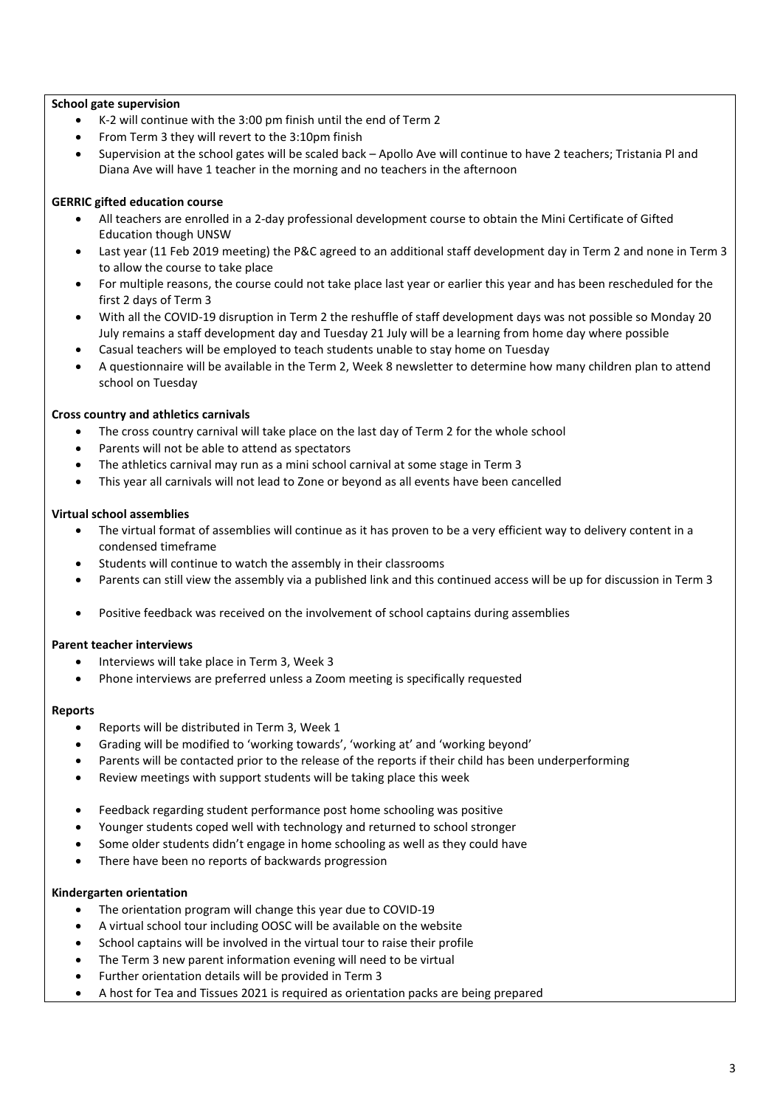## **School gate supervision**

- K-2 will continue with the 3:00 pm finish until the end of Term 2
- From Term 3 they will revert to the 3:10pm finish
- Supervision at the school gates will be scaled back Apollo Ave will continue to have 2 teachers; Tristania Pl and Diana Ave will have 1 teacher in the morning and no teachers in the afternoon

## **GERRIC gifted education course**

- All teachers are enrolled in a 2-day professional development course to obtain the Mini Certificate of Gifted Education though UNSW
- Last year (11 Feb 2019 meeting) the P&C agreed to an additional staff development day in Term 2 and none in Term 3 to allow the course to take place
- For multiple reasons, the course could not take place last year or earlier this year and has been rescheduled for the first 2 days of Term 3
- With all the COVID-19 disruption in Term 2 the reshuffle of staff development days was not possible so Monday 20 July remains a staff development day and Tuesday 21 July will be a learning from home day where possible
- Casual teachers will be employed to teach students unable to stay home on Tuesday
- A questionnaire will be available in the Term 2, Week 8 newsletter to determine how many children plan to attend school on Tuesday

## **Cross country and athletics carnivals**

- The cross country carnival will take place on the last day of Term 2 for the whole school
- Parents will not be able to attend as spectators
- The athletics carnival may run as a mini school carnival at some stage in Term 3
- This year all carnivals will not lead to Zone or beyond as all events have been cancelled

## **Virtual school assemblies**

- The virtual format of assemblies will continue as it has proven to be a very efficient way to delivery content in a condensed timeframe
- Students will continue to watch the assembly in their classrooms
- Parents can still view the assembly via a published link and this continued access will be up for discussion in Term 3
- Positive feedback was received on the involvement of school captains during assemblies

## **Parent teacher interviews**

- Interviews will take place in Term 3, Week 3
- Phone interviews are preferred unless a Zoom meeting is specifically requested

## **Reports**

- Reports will be distributed in Term 3, Week 1
- Grading will be modified to 'working towards', 'working at' and 'working beyond'
- Parents will be contacted prior to the release of the reports if their child has been underperforming
- Review meetings with support students will be taking place this week
- Feedback regarding student performance post home schooling was positive
- Younger students coped well with technology and returned to school stronger
- Some older students didn't engage in home schooling as well as they could have
- There have been no reports of backwards progression

## **Kindergarten orientation**

- The orientation program will change this year due to COVID-19
- A virtual school tour including OOSC will be available on the website
- School captains will be involved in the virtual tour to raise their profile
- The Term 3 new parent information evening will need to be virtual
- Further orientation details will be provided in Term 3
- A host for Tea and Tissues 2021 is required as orientation packs are being prepared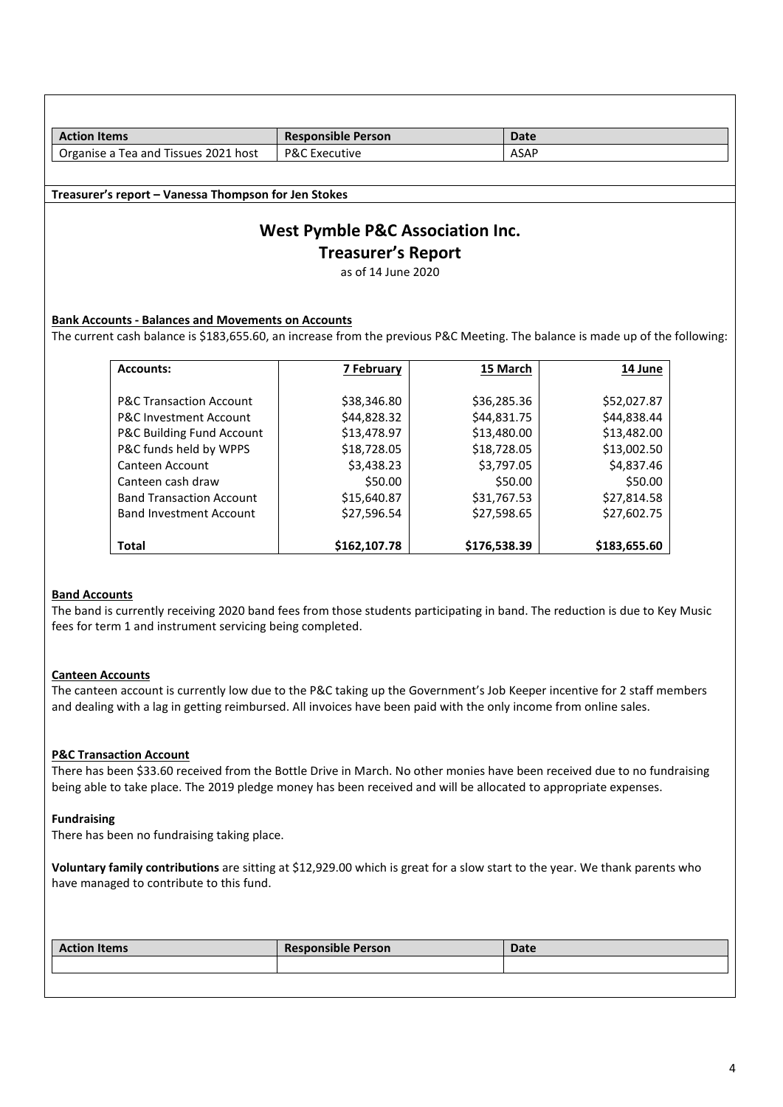| <b>Action Items</b>                                                                                                           | <b>Responsible Person</b>                   | <b>Date</b> |             |  |
|-------------------------------------------------------------------------------------------------------------------------------|---------------------------------------------|-------------|-------------|--|
| Organise a Tea and Tissues 2021 host                                                                                          | <b>P&amp;C Executive</b>                    | <b>ASAP</b> |             |  |
|                                                                                                                               |                                             |             |             |  |
| Treasurer's report - Vanessa Thompson for Jen Stokes                                                                          |                                             |             |             |  |
|                                                                                                                               |                                             |             |             |  |
|                                                                                                                               | <b>West Pymble P&amp;C Association Inc.</b> |             |             |  |
|                                                                                                                               | <b>Treasurer's Report</b>                   |             |             |  |
|                                                                                                                               | as of 14 June 2020                          |             |             |  |
|                                                                                                                               |                                             |             |             |  |
|                                                                                                                               |                                             |             |             |  |
| <b>Bank Accounts - Balances and Movements on Accounts</b>                                                                     |                                             |             |             |  |
| The current cash balance is \$183,655.60, an increase from the previous P&C Meeting. The balance is made up of the following: |                                             |             |             |  |
| <b>Accounts:</b>                                                                                                              | <b>7 February</b>                           | 15 March    | 14 June     |  |
|                                                                                                                               |                                             |             |             |  |
| <b>P&amp;C Transaction Account</b>                                                                                            | \$38,346.80                                 | \$36,285.36 | \$52,027.87 |  |
| <b>P&amp;C Investment Account</b>                                                                                             | \$44,828.32                                 | \$44,831.75 | \$44,838.44 |  |
| P&C Building Fund Account                                                                                                     | \$13,478.97                                 | \$13,480.00 | \$13,482.00 |  |
| P&C funds held by WPPS                                                                                                        | \$18,728.05                                 | \$18,728.05 | \$13,002.50 |  |
| Canteen Account                                                                                                               | \$3,438.23                                  | \$3,797.05  | \$4,837.46  |  |
| Canteen cash draw                                                                                                             | \$50.00                                     | \$50.00     | \$50.00     |  |
| <b>Band Transaction Account</b>                                                                                               | \$15,640.87                                 | \$31,767.53 | \$27,814.58 |  |
| <b>Band Investment Account</b>                                                                                                | \$27,596.54                                 | \$27,598.65 | \$27,602.75 |  |
|                                                                                                                               |                                             |             |             |  |

## **Band Accounts**

**Total**

The band is currently receiving 2020 band fees from those students participating in band. The reduction is due to Key Music fees for term 1 and instrument servicing being completed.

**\$162,107.78**

**\$176,538.39**

**\$183,655.60**

## **Canteen Accounts**

The canteen account is currently low due to the P&C taking up the Government's Job Keeper incentive for 2 staff members and dealing with a lag in getting reimbursed. All invoices have been paid with the only income from online sales.

## **P&C Transaction Account**

There has been \$33.60 received from the Bottle Drive in March. No other monies have been received due to no fundraising being able to take place. The 2019 pledge money has been received and will be allocated to appropriate expenses.

## **Fundraising**

There has been no fundraising taking place.

**Voluntary family contributions** are sitting at \$12,929.00 which is great for a slow start to the year. We thank parents who have managed to contribute to this fund.

| <b>Action Items</b> | <b>Responsible Person</b> | <b>Date</b> |
|---------------------|---------------------------|-------------|
|                     |                           |             |
|                     |                           |             |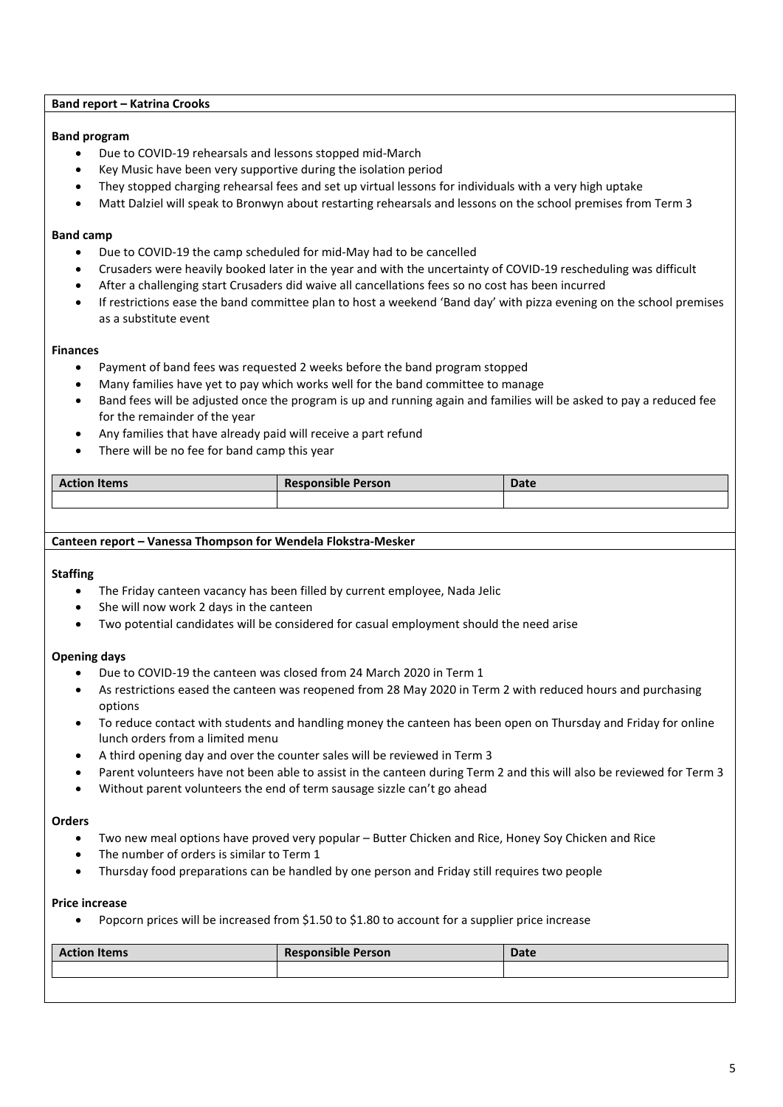## **Band report – Katrina Crooks**

## **Band program**

- Due to COVID-19 rehearsals and lessons stopped mid-March
- Key Music have been very supportive during the isolation period
- They stopped charging rehearsal fees and set up virtual lessons for individuals with a very high uptake
- Matt Dalziel will speak to Bronwyn about restarting rehearsals and lessons on the school premises from Term 3

#### **Band camp**

- Due to COVID-19 the camp scheduled for mid-May had to be cancelled
- Crusaders were heavily booked later in the year and with the uncertainty of COVID-19 rescheduling was difficult
- After a challenging start Crusaders did waive all cancellations fees so no cost has been incurred
- If restrictions ease the band committee plan to host a weekend 'Band day' with pizza evening on the school premises as a substitute event

#### **Finances**

- Payment of band fees was requested 2 weeks before the band program stopped
- Many families have yet to pay which works well for the band committee to manage
- Band fees will be adjusted once the program is up and running again and families will be asked to pay a reduced fee for the remainder of the year
- Any families that have already paid will receive a part refund
- There will be no fee for band camp this year

| <b>Action Items</b> | <b>Responsible Person</b> | <b>Date</b> |
|---------------------|---------------------------|-------------|
|                     |                           |             |

#### **Canteen report – Vanessa Thompson for Wendela Flokstra-Mesker**

#### **Staffing**

- The Friday canteen vacancy has been filled by current employee, Nada Jelic
- She will now work 2 days in the canteen
- Two potential candidates will be considered for casual employment should the need arise

## **Opening days**

- Due to COVID-19 the canteen was closed from 24 March 2020 in Term 1
- As restrictions eased the canteen was reopened from 28 May 2020 in Term 2 with reduced hours and purchasing options
- To reduce contact with students and handling money the canteen has been open on Thursday and Friday for online lunch orders from a limited menu
- A third opening day and over the counter sales will be reviewed in Term 3
- Parent volunteers have not been able to assist in the canteen during Term 2 and this will also be reviewed for Term 3
- Without parent volunteers the end of term sausage sizzle can't go ahead

#### **Orders**

- Two new meal options have proved very popular Butter Chicken and Rice, Honey Soy Chicken and Rice
- The number of orders is similar to Term 1
- Thursday food preparations can be handled by one person and Friday still requires two people

#### **Price increase**

• Popcorn prices will be increased from \$1.50 to \$1.80 to account for a supplier price increase

| <b>Action Items</b> | <b>Responsible Person</b> | <b>Date</b> |
|---------------------|---------------------------|-------------|
|                     |                           |             |
|                     |                           |             |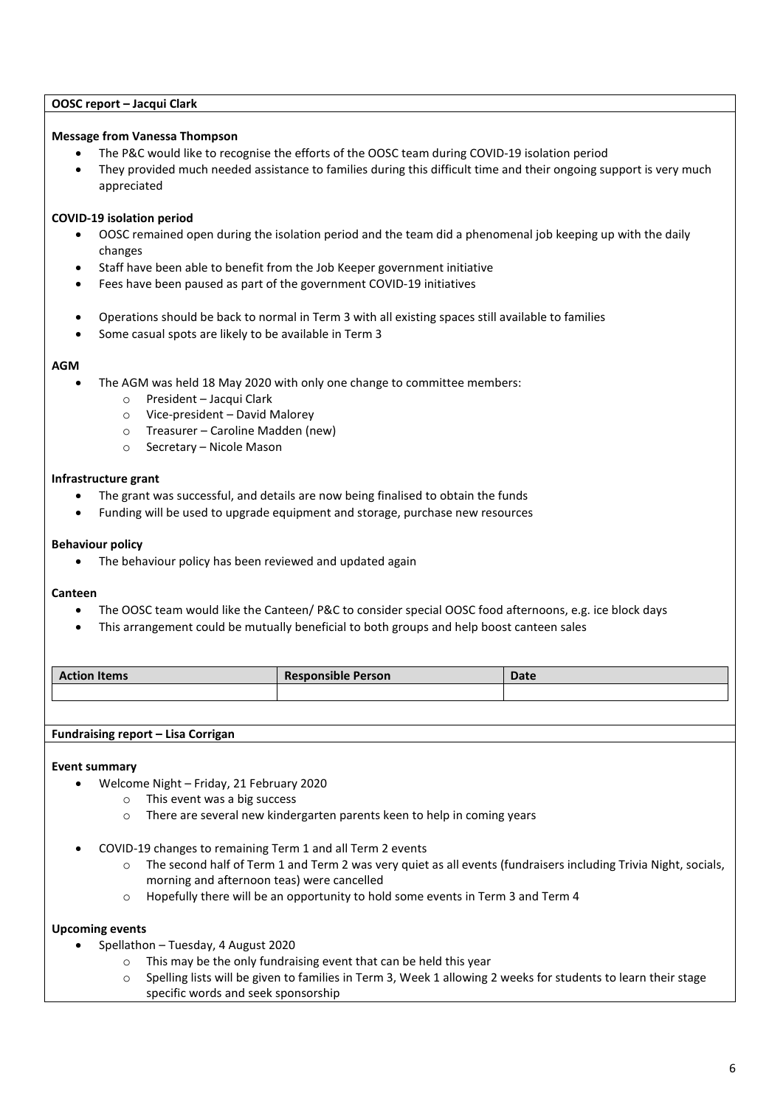## **OOSC report – Jacqui Clark**

## **Message from Vanessa Thompson**

- The P&C would like to recognise the efforts of the OOSC team during COVID-19 isolation period
- They provided much needed assistance to families during this difficult time and their ongoing support is very much appreciated

## **COVID-19 isolation period**

- OOSC remained open during the isolation period and the team did a phenomenal job keeping up with the daily changes
- Staff have been able to benefit from the Job Keeper government initiative
- Fees have been paused as part of the government COVID-19 initiatives
- Operations should be back to normal in Term 3 with all existing spaces still available to families
- Some casual spots are likely to be available in Term 3

#### **AGM**

- The AGM was held 18 May 2020 with only one change to committee members:
	- o President Jacqui Clark
	- o Vice-president David Malorey
	- o Treasurer Caroline Madden (new)
	- o Secretary Nicole Mason

#### **Infrastructure grant**

- The grant was successful, and details are now being finalised to obtain the funds
- Funding will be used to upgrade equipment and storage, purchase new resources

#### **Behaviour policy**

• The behaviour policy has been reviewed and updated again

#### **Canteen**

- The OOSC team would like the Canteen/ P&C to consider special OOSC food afternoons, e.g. ice block days
- This arrangement could be mutually beneficial to both groups and help boost canteen sales

| <b>Action Items</b> | <b>Responsible Person</b> | <b>Date</b> |
|---------------------|---------------------------|-------------|
|                     |                           |             |

#### **Fundraising report – Lisa Corrigan**

#### **Event summary**

- Welcome Night Friday, 21 February 2020
	- o This event was a big success
	- o There are several new kindergarten parents keen to help in coming years
- COVID-19 changes to remaining Term 1 and all Term 2 events
	- o The second half of Term 1 and Term 2 was very quiet as all events (fundraisers including Trivia Night, socials, morning and afternoon teas) were cancelled
	- o Hopefully there will be an opportunity to hold some events in Term 3 and Term 4

## **Upcoming events**

- Spellathon Tuesday, 4 August 2020
	- o This may be the only fundraising event that can be held this year
	- $\circ$  Spelling lists will be given to families in Term 3, Week 1 allowing 2 weeks for students to learn their stage specific words and seek sponsorship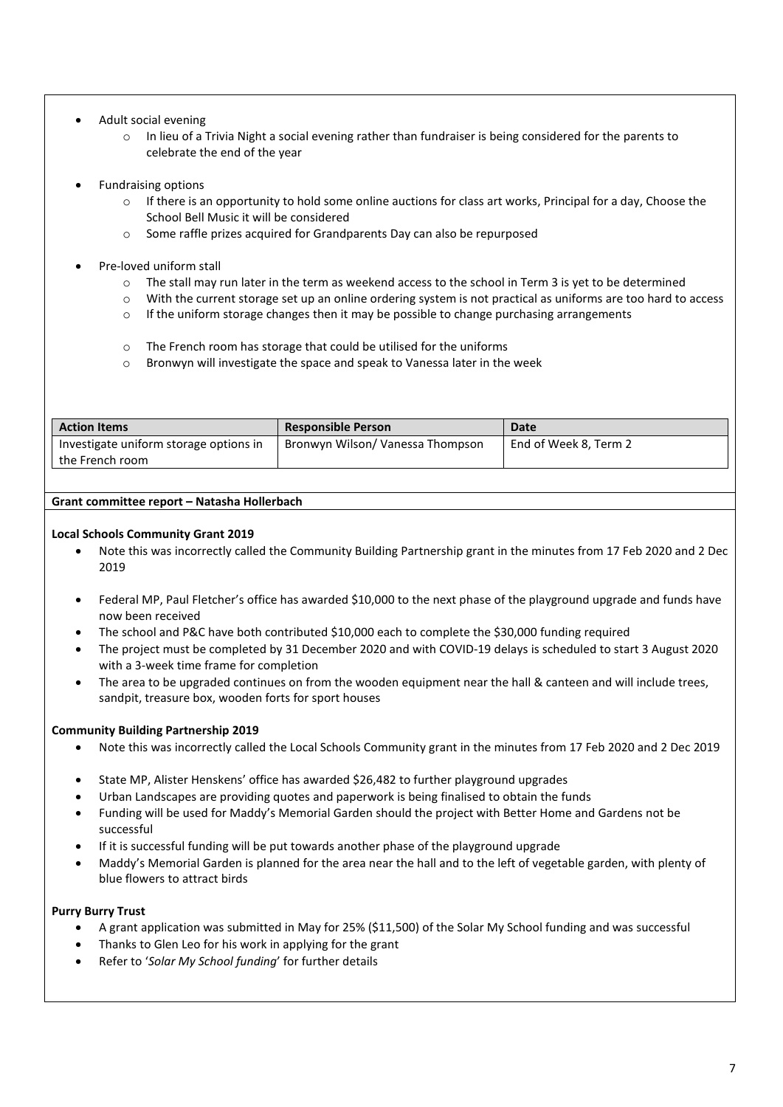## • Adult social evening

- o In lieu of a Trivia Night a social evening rather than fundraiser is being considered for the parents to celebrate the end of the year
- Fundraising options
	- o If there is an opportunity to hold some online auctions for class art works, Principal for a day, Choose the School Bell Music it will be considered
	- o Some raffle prizes acquired for Grandparents Day can also be repurposed
- Pre-loved uniform stall
	- $\circ$  The stall may run later in the term as weekend access to the school in Term 3 is yet to be determined
	- o With the current storage set up an online ordering system is not practical as uniforms are too hard to access
	- $\circ$  If the uniform storage changes then it may be possible to change purchasing arrangements
	- o The French room has storage that could be utilised for the uniforms
	- o Bronwyn will investigate the space and speak to Vanessa later in the week

| <b>Action Items</b>                    | <b>Responsible Person</b>        | Date                  |
|----------------------------------------|----------------------------------|-----------------------|
| Investigate uniform storage options in | Bronwyn Wilson/ Vanessa Thompson | End of Week 8, Term 2 |
| the French room                        |                                  |                       |

## **Grant committee report – Natasha Hollerbach**

## **Local Schools Community Grant 2019**

- Note this was incorrectly called the Community Building Partnership grant in the minutes from 17 Feb 2020 and 2 Dec 2019
- Federal MP, Paul Fletcher's office has awarded \$10,000 to the next phase of the playground upgrade and funds have now been received
- The school and P&C have both contributed \$10,000 each to complete the \$30,000 funding required
- The project must be completed by 31 December 2020 and with COVID-19 delays is scheduled to start 3 August 2020 with a 3-week time frame for completion
- The area to be upgraded continues on from the wooden equipment near the hall & canteen and will include trees, sandpit, treasure box, wooden forts for sport houses

## **Community Building Partnership 2019**

- Note this was incorrectly called the Local Schools Community grant in the minutes from 17 Feb 2020 and 2 Dec 2019
- State MP, Alister Henskens' office has awarded \$26,482 to further playground upgrades
- Urban Landscapes are providing quotes and paperwork is being finalised to obtain the funds
- Funding will be used for Maddy's Memorial Garden should the project with Better Home and Gardens not be successful
- If it is successful funding will be put towards another phase of the playground upgrade
- Maddy's Memorial Garden is planned for the area near the hall and to the left of vegetable garden, with plenty of blue flowers to attract birds

## **Purry Burry Trust**

- A grant application was submitted in May for 25% (\$11,500) of the Solar My School funding and was successful
- Thanks to Glen Leo for his work in applying for the grant
- Refer to '*Solar My School funding*' for further details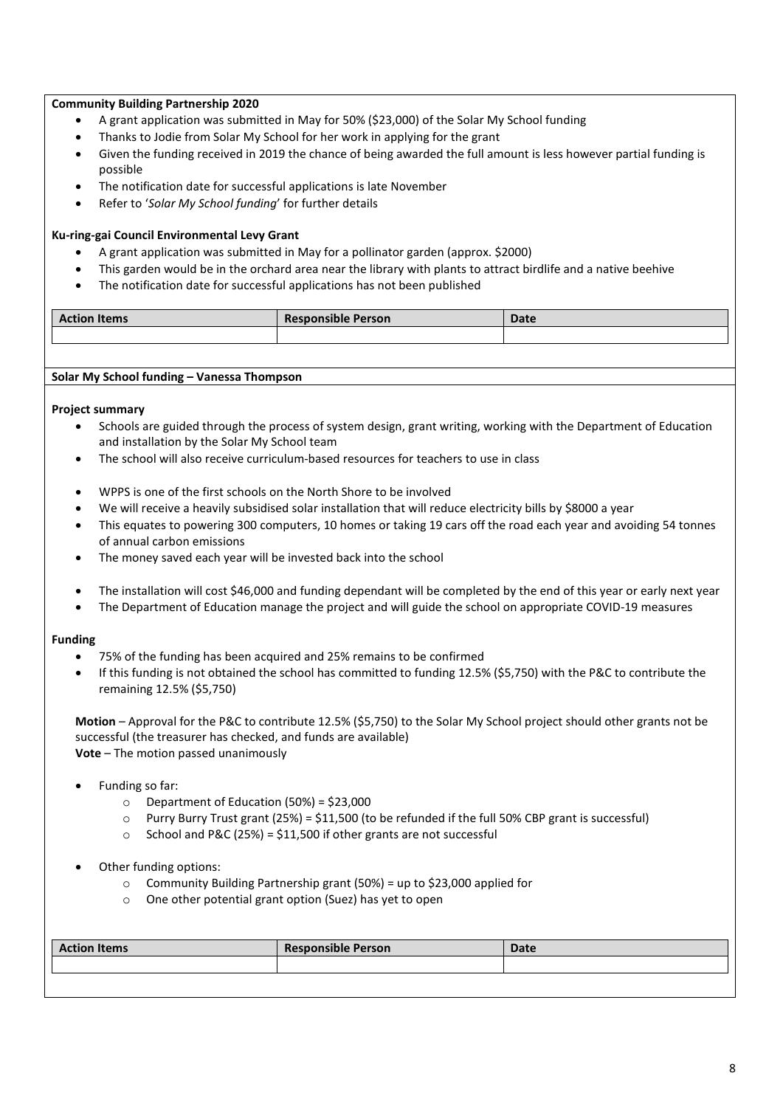## **Community Building Partnership 2020**

- A grant application was submitted in May for 50% (\$23,000) of the Solar My School funding
- Thanks to Jodie from Solar My School for her work in applying for the grant
- Given the funding received in 2019 the chance of being awarded the full amount is less however partial funding is possible
- The notification date for successful applications is late November
- Refer to '*Solar My School funding*' for further details

## **Ku-ring-gai Council Environmental Levy Grant**

- A grant application was submitted in May for a pollinator garden (approx. \$2000)
- This garden would be in the orchard area near the library with plants to attract birdlife and a native beehive
- The notification date for successful applications has not been published

| $\cdot$<br><b>Action Items</b> | $\cdot$ .<br><b>Responsible Person</b> | Date |
|--------------------------------|----------------------------------------|------|
|                                |                                        |      |

## **Solar My School funding – Vanessa Thompson**

## **Project summary**

- Schools are guided through the process of system design, grant writing, working with the Department of Education and installation by the Solar My School team
- The school will also receive curriculum-based resources for teachers to use in class
- WPPS is one of the first schools on the North Shore to be involved
- We will receive a heavily subsidised solar installation that will reduce electricity bills by \$8000 a year
- This equates to powering 300 computers, 10 homes or taking 19 cars off the road each year and avoiding 54 tonnes of annual carbon emissions
- The money saved each year will be invested back into the school
- The installation will cost \$46,000 and funding dependant will be completed by the end of this year or early next year
- The Department of Education manage the project and will guide the school on appropriate COVID-19 measures

## **Funding**

- 75% of the funding has been acquired and 25% remains to be confirmed
- If this funding is not obtained the school has committed to funding 12.5% (\$5,750) with the P&C to contribute the remaining 12.5% (\$5,750)

**Motion** – Approval for the P&C to contribute 12.5% (\$5,750) to the Solar My School project should other grants not be successful (the treasurer has checked, and funds are available) **Vote** – The motion passed unanimously

- Funding so far:
	- $\circ$  Department of Education (50%) = \$23,000
	- o Purry Burry Trust grant (25%) = \$11,500 (to be refunded if the full 50% CBP grant is successful)
	- $\circ$  School and P&C (25%) = \$11,500 if other grants are not successful
- Other funding options:
	- o Community Building Partnership grant (50%) = up to \$23,000 applied for
	- o One other potential grant option (Suez) has yet to open

| <b>Responsible Person</b><br><b>Date</b> | <b>Action Items</b> |
|------------------------------------------|---------------------|
|                                          |                     |
|                                          |                     |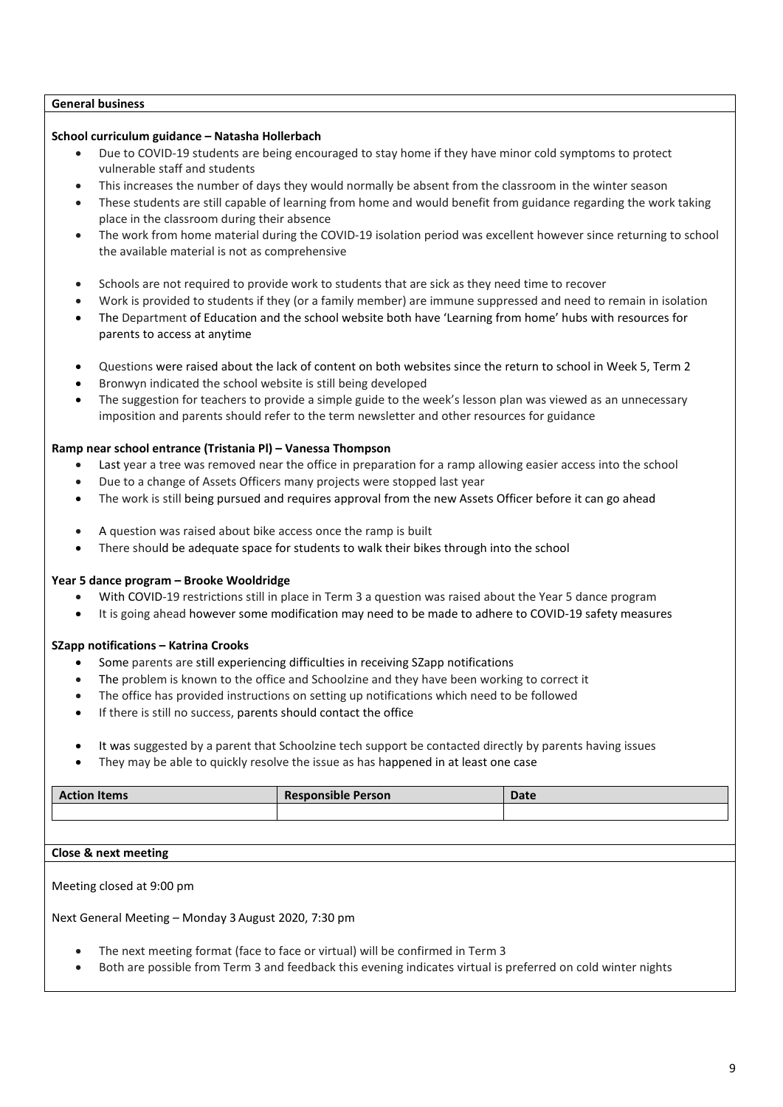## **General business**

## **School curriculum guidance – Natasha Hollerbach**

- Due to COVID-19 students are being encouraged to stay home if they have minor cold symptoms to protect vulnerable staff and students
- This increases the number of days they would normally be absent from the classroom in the winter season
- These students are still capable of learning from home and would benefit from guidance regarding the work taking place in the classroom during their absence
- The work from home material during the COVID-19 isolation period was excellent however since returning to school the available material is not as comprehensive
- Schools are not required to provide work to students that are sick as they need time to recover
- Work is provided to students if they (or a family member) are immune suppressed and need to remain in isolation
- The Department of Education and the school website both have 'Learning from home' hubs with resources for parents to access at anytime
- Questions were raised about the lack of content on both websites since the return to school in Week 5, Term 2
- Bronwyn indicated the school website is still being developed
- The suggestion for teachers to provide a simple guide to the week's lesson plan was viewed as an unnecessary imposition and parents should refer to the term newsletter and other resources for guidance

#### **Ramp near school entrance (Tristania Pl) – Vanessa Thompson**

- Last year a tree was removed near the office in preparation for a ramp allowing easier access into the school
- Due to a change of Assets Officers many projects were stopped last year
- The work is still being pursued and requires approval from the new Assets Officer before it can go ahead
- A question was raised about bike access once the ramp is built
- There should be adequate space for students to walk their bikes through into the school

## **Year 5 dance program – Brooke Wooldridge**

- With COVID-19 restrictions still in place in Term 3 a question was raised about the Year 5 dance program
- It is going ahead however some modification may need to be made to adhere to COVID-19 safety measures

## **SZapp notifications – Katrina Crooks**

- Some parents are still experiencing difficulties in receiving SZapp notifications
- The problem is known to the office and Schoolzine and they have been working to correct it
- The office has provided instructions on setting up notifications which need to be followed
- If there is still no success, parents should contact the office
- It was suggested by a parent that Schoolzine tech support be contacted directly by parents having issues
- They may be able to quickly resolve the issue as has happened in at least one case

| <b>Action Items</b> | <b>Responsible Person</b> | Date |
|---------------------|---------------------------|------|
|                     |                           |      |
|                     |                           |      |

## **Close & next meeting**

Meeting closed at 9:00 pm

Next General Meeting – Monday 3August 2020, 7:30 pm

- The next meeting format (face to face or virtual) will be confirmed in Term 3
- Both are possible from Term 3 and feedback this evening indicates virtual is preferred on cold winter nights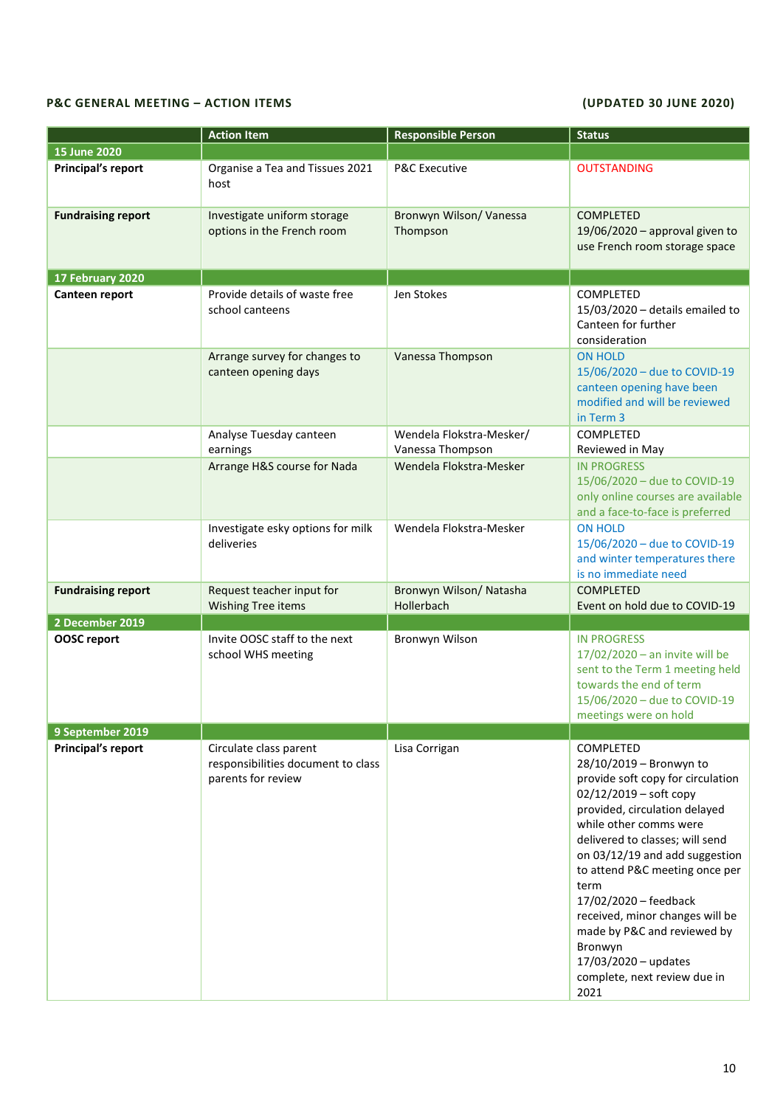## **P&C GENERAL MEETING – ACTION ITEMS (UPDATED 30 JUNE 2020)**

|                           | <b>Action Item</b>                                                                 | <b>Responsible Person</b>                    | <b>Status</b>                                                                                                                                                                                                                                                                                                                                                                                                                                         |
|---------------------------|------------------------------------------------------------------------------------|----------------------------------------------|-------------------------------------------------------------------------------------------------------------------------------------------------------------------------------------------------------------------------------------------------------------------------------------------------------------------------------------------------------------------------------------------------------------------------------------------------------|
| 15 June 2020              |                                                                                    |                                              |                                                                                                                                                                                                                                                                                                                                                                                                                                                       |
| <b>Principal's report</b> | Organise a Tea and Tissues 2021<br>host                                            | <b>P&amp;C Executive</b>                     | <b>OUTSTANDING</b>                                                                                                                                                                                                                                                                                                                                                                                                                                    |
| <b>Fundraising report</b> | Investigate uniform storage<br>options in the French room                          | Bronwyn Wilson/ Vanessa<br>Thompson          | <b>COMPLETED</b><br>19/06/2020 - approval given to<br>use French room storage space                                                                                                                                                                                                                                                                                                                                                                   |
| 17 February 2020          |                                                                                    |                                              |                                                                                                                                                                                                                                                                                                                                                                                                                                                       |
| Canteen report            | Provide details of waste free<br>school canteens                                   | Jen Stokes                                   | <b>COMPLETED</b><br>$15/03/2020$ - details emailed to<br>Canteen for further<br>consideration                                                                                                                                                                                                                                                                                                                                                         |
|                           | Arrange survey for changes to<br>canteen opening days                              | Vanessa Thompson                             | <b>ON HOLD</b><br>15/06/2020 - due to COVID-19<br>canteen opening have been<br>modified and will be reviewed<br>in Term 3                                                                                                                                                                                                                                                                                                                             |
|                           | Analyse Tuesday canteen<br>earnings                                                | Wendela Flokstra-Mesker/<br>Vanessa Thompson | COMPLETED<br>Reviewed in May                                                                                                                                                                                                                                                                                                                                                                                                                          |
|                           | Arrange H&S course for Nada                                                        | Wendela Flokstra-Mesker                      | <b>IN PROGRESS</b><br>15/06/2020 - due to COVID-19<br>only online courses are available<br>and a face-to-face is preferred                                                                                                                                                                                                                                                                                                                            |
|                           | Investigate esky options for milk<br>deliveries                                    | Wendela Flokstra-Mesker                      | <b>ON HOLD</b><br>15/06/2020 - due to COVID-19<br>and winter temperatures there<br>is no immediate need                                                                                                                                                                                                                                                                                                                                               |
| <b>Fundraising report</b> | Request teacher input for<br>Wishing Tree items                                    | Bronwyn Wilson/ Natasha<br>Hollerbach        | <b>COMPLETED</b><br>Event on hold due to COVID-19                                                                                                                                                                                                                                                                                                                                                                                                     |
| 2 December 2019           |                                                                                    |                                              |                                                                                                                                                                                                                                                                                                                                                                                                                                                       |
| <b>OOSC</b> report        | Invite OOSC staff to the next<br>school WHS meeting                                | Bronwyn Wilson                               | <b>IN PROGRESS</b><br>17/02/2020 - an invite will be<br>sent to the Term 1 meeting held<br>towards the end of term<br>15/06/2020 - due to COVID-19<br>meetings were on hold                                                                                                                                                                                                                                                                           |
| 9 September 2019          |                                                                                    |                                              |                                                                                                                                                                                                                                                                                                                                                                                                                                                       |
| <b>Principal's report</b> | Circulate class parent<br>responsibilities document to class<br>parents for review | Lisa Corrigan                                | COMPLETED<br>28/10/2019 - Bronwyn to<br>provide soft copy for circulation<br>$02/12/2019 - soft copy$<br>provided, circulation delayed<br>while other comms were<br>delivered to classes; will send<br>on 03/12/19 and add suggestion<br>to attend P&C meeting once per<br>term<br>17/02/2020 - feedback<br>received, minor changes will be<br>made by P&C and reviewed by<br>Bronwyn<br>17/03/2020 - updates<br>complete, next review due in<br>2021 |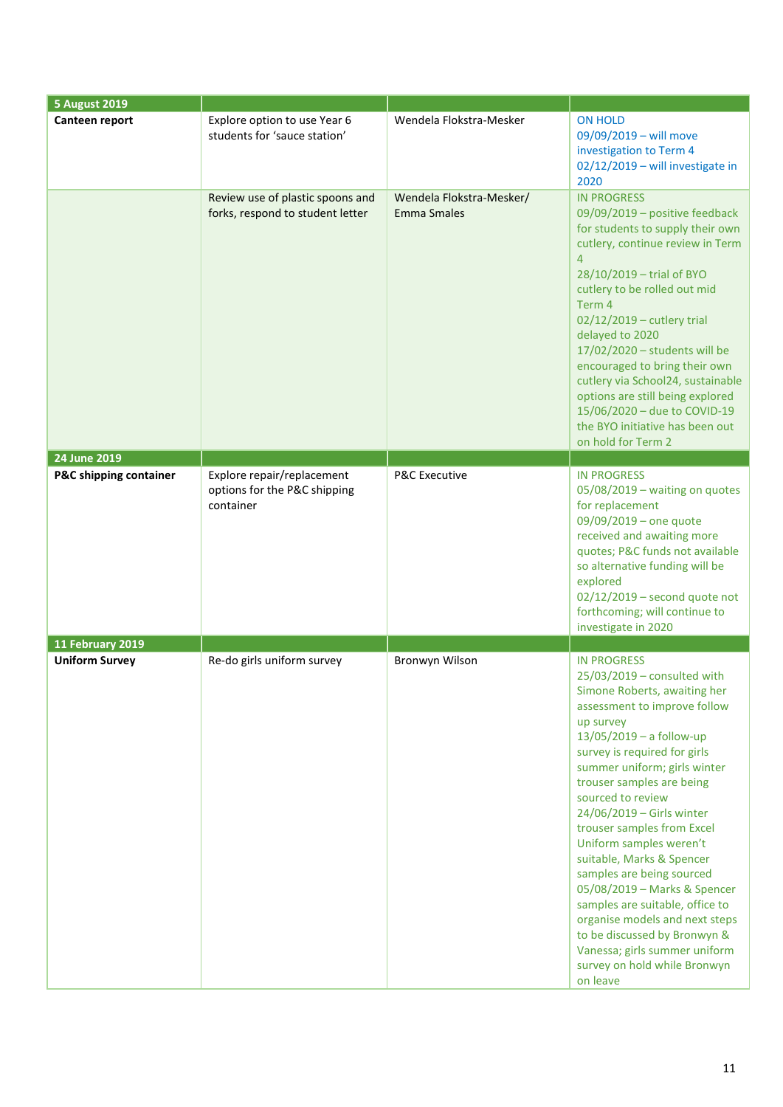| <b>5 August 2019</b>              |                                                                         |                                                |                                                                                                                                                                                                                                                                                                                                                                                                                                                                                                                                                                                                                                                  |
|-----------------------------------|-------------------------------------------------------------------------|------------------------------------------------|--------------------------------------------------------------------------------------------------------------------------------------------------------------------------------------------------------------------------------------------------------------------------------------------------------------------------------------------------------------------------------------------------------------------------------------------------------------------------------------------------------------------------------------------------------------------------------------------------------------------------------------------------|
| Canteen report                    | Explore option to use Year 6<br>students for 'sauce station'            | Wendela Flokstra-Mesker                        | <b>ON HOLD</b><br>09/09/2019 - will move<br>investigation to Term 4<br>02/12/2019 - will investigate in<br>2020                                                                                                                                                                                                                                                                                                                                                                                                                                                                                                                                  |
|                                   | Review use of plastic spoons and<br>forks, respond to student letter    | Wendela Flokstra-Mesker/<br><b>Emma Smales</b> | <b>IN PROGRESS</b><br>09/09/2019 - positive feedback<br>for students to supply their own<br>cutlery, continue review in Term<br>$\overline{4}$<br>28/10/2019 - trial of BYO<br>cutlery to be rolled out mid<br>Term 4<br>02/12/2019 - cutlery trial<br>delayed to 2020<br>17/02/2020 - students will be<br>encouraged to bring their own<br>cutlery via School24, sustainable<br>options are still being explored<br>15/06/2020 - due to COVID-19<br>the BYO initiative has been out<br>on hold for Term 2                                                                                                                                       |
| 24 June 2019                      |                                                                         |                                                |                                                                                                                                                                                                                                                                                                                                                                                                                                                                                                                                                                                                                                                  |
| <b>P&amp;C shipping container</b> | Explore repair/replacement<br>options for the P&C shipping<br>container | <b>P&amp;C Executive</b>                       | <b>IN PROGRESS</b><br>05/08/2019 - waiting on quotes<br>for replacement<br>09/09/2019 - one quote<br>received and awaiting more<br>quotes; P&C funds not available<br>so alternative funding will be<br>explored<br>$02/12/2019$ – second quote not<br>forthcoming; will continue to<br>investigate in 2020                                                                                                                                                                                                                                                                                                                                      |
| <b>11 February 2019</b>           |                                                                         |                                                |                                                                                                                                                                                                                                                                                                                                                                                                                                                                                                                                                                                                                                                  |
| <b>Uniform Survey</b>             | Re-do girls uniform survey                                              | Bronwyn Wilson                                 | <b>IN PROGRESS</b><br>25/03/2019 - consulted with<br>Simone Roberts, awaiting her<br>assessment to improve follow<br>up survey<br>$13/05/2019 - a$ follow-up<br>survey is required for girls<br>summer uniform; girls winter<br>trouser samples are being<br>sourced to review<br>24/06/2019 - Girls winter<br>trouser samples from Excel<br>Uniform samples weren't<br>suitable, Marks & Spencer<br>samples are being sourced<br>05/08/2019 - Marks & Spencer<br>samples are suitable, office to<br>organise models and next steps<br>to be discussed by Bronwyn &<br>Vanessa; girls summer uniform<br>survey on hold while Bronwyn<br>on leave |